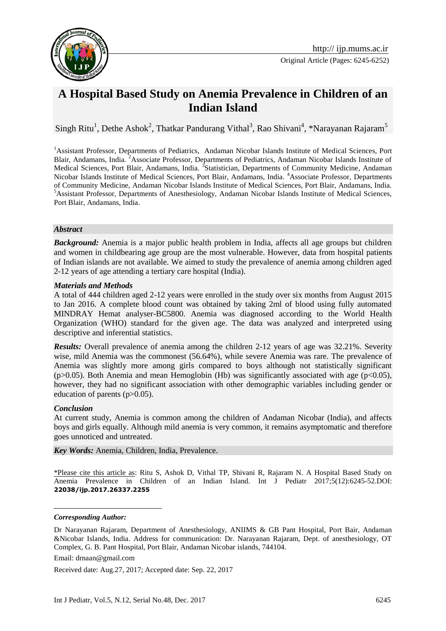

Original Article (Pages: 6245-6252)

# **A Hospital Based Study on Anemia Prevalence in Children of an Indian Island**

Singh Ritu<sup>1</sup>, Dethe Ashok<sup>2</sup>, Thatkar Pandurang Vithal<sup>3</sup>, Rao Shivani<sup>4</sup>, \*Narayanan Rajaram<sup>5</sup>

<sup>1</sup>Assistant Professor, Departments of Pediatrics, Andaman Nicobar Islands Institute of Medical Sciences, Port Blair, Andamans, India. <sup>2</sup>Associate Professor, Departments of Pediatrics, Andaman Nicobar Islands Institute of Medical Sciences, Port Blair, Andamans, India. <sup>3</sup>Statistician, Departments of Community Medicine, Andaman Nicobar Islands Institute of Medical Sciences, Port Blair, Andamans, India. <sup>4</sup>Associate Professor, Departments of Community Medicine, Andaman Nicobar Islands Institute of Medical Sciences, Port Blair, Andamans, India. <sup>5</sup>Assistant Professor, Departments of Anesthesiology, Andaman Nicobar Islands Institute of Medical Sciences, Port Blair, Andamans, India.

#### *Abstract*

**Background:** Anemia is a major public health problem in India, affects all age groups but children and women in childbearing age group are the most vulnerable. However, data from hospital patients of Indian islands are not available. We aimed to study the prevalence of anemia among children aged 2-12 years of age attending a tertiary care hospital (India).

#### *Materials and Methods*

A total of 444 children aged 2-12 years were enrolled in the study over six months from August 2015 to Jan 2016. A complete blood count was obtained by taking 2ml of blood using fully automated MINDRAY Hemat analyser-BC5800. Anemia was diagnosed according to the World Health Organization (WHO) standard for the given age. The data was analyzed and interpreted using descriptive and inferential statistics.

**Results:** Overall prevalence of anemia among the children 2-12 years of age was 32.21%. Severity wise, mild Anemia was the commonest (56.64%), while severe Anemia was rare. The prevalence of Anemia was slightly more among girls compared to boys although not statistically significant (p>0.05). Both Anemia and mean Hemoglobin (Hb) was significantly associated with age ( $p<0.05$ ), however, they had no significant association with other demographic variables including gender or education of parents (p>0.05).

### *Conclusion*

At current study, Anemia is common among the children of Andaman Nicobar (India), and affects boys and girls equally. Although mild anemia is very common, it remains asymptomatic and therefore goes unnoticed and untreated.

*Key Words:* Anemia, Children, India, Prevalence.

\*Please cite this article as: Ritu S, Ashok D, Vithal TP, Shivani R, Rajaram N. A Hospital Based Study on Anemia Prevalence in Children of an Indian Island. Int J Pediatr 2017;5(12):6245-52.DOI: **22038/ijp.2017.26337.2255**

#### *Corresponding Author:*

1

Received date: Aug.27, 2017; Accepted date: Sep. 22, 2017

Dr Narayanan Rajaram, Department of Anesthesiology, ANIIMS & GB Pant Hospital, Port Bair, Andaman &Nicobar Islands, India. Address for communication: Dr. Narayanan Rajaram, Dept. of anesthesiology, OT Complex, G. B. Pant Hospital, Port Blair, Andaman Nicobar islands, 744104.

Email: drnaan@gmail.com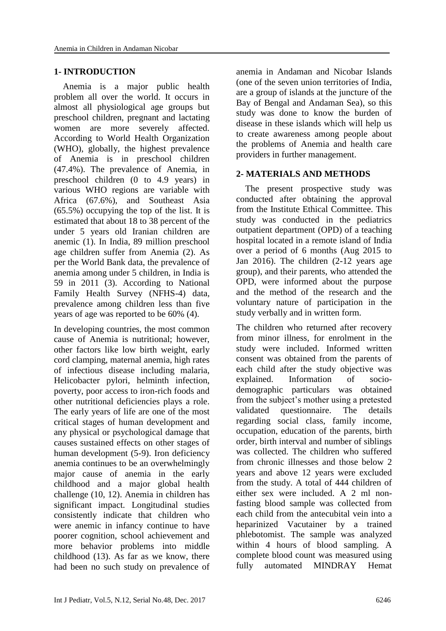## **1- INTRODUCTION**

 Anemia is a major public health problem all over the world. It occurs in almost all physiological age groups but preschool children, pregnant and lactating women are more severely affected. According to World Health Organization (WHO), globally, the highest prevalence of Anemia is in preschool children (47.4%). The prevalence of Anemia, in preschool children (0 to 4.9 years) in various WHO regions are variable with Africa (67.6%), and Southeast Asia (65.5%) occupying the top of the list. It is estimated that about 18 to 38 percent of the under 5 years old Iranian children are anemic (1). In India, 89 million preschool age children suffer from Anemia (2). As per the World Bank data, the prevalence of anemia among under 5 children, in India is 59 in 2011 (3). According to National Family Health Survey (NFHS-4) data, prevalence among children less than five years of age was reported to be 60% (4).

In developing countries, the most common cause of Anemia is nutritional; however, other factors like low birth weight, early cord clamping, maternal anemia, high rates of infectious disease including malaria, Helicobacter pylori, helminth infection, poverty, poor access to iron-rich foods and other nutritional deficiencies plays a role. The early years of life are one of the most critical stages of human development and any physical or psychological damage that causes sustained effects on other stages of human development (5-9). Iron deficiency anemia continues to be an overwhelmingly major cause of anemia in the early childhood and a major global health challenge (10, 12). Anemia in children has significant impact. Longitudinal studies consistently indicate that children who were anemic in infancy continue to have poorer cognition, school achievement and more behavior problems into middle childhood (13). As far as we know, there had been no such study on prevalence of anemia in Andaman and Nicobar Islands (one of the seven union territories of India, are a group of islands at the juncture of the Bay of Bengal and Andaman Sea), so this study was done to know the burden of disease in these islands which will help us to create awareness among people about the problems of Anemia and health care providers in further management.

### **2- MATERIALS AND METHODS**

 The present prospective study was conducted after obtaining the approval from the Institute Ethical Committee. This study was conducted in the pediatrics outpatient department (OPD) of a teaching hospital located in a remote island of India over a period of 6 months (Aug 2015 to Jan 2016). The children (2-12 years age group), and their parents, who attended the OPD, were informed about the purpose and the method of the research and the voluntary nature of participation in the study verbally and in written form.

The children who returned after recovery from minor illness, for enrolment in the study were included. Informed written consent was obtained from the parents of each child after the study objective was explained. Information of sociodemographic particulars was obtained from the subject's mother using a pretested validated questionnaire. The details regarding social class, family income, occupation, education of the parents, birth order, birth interval and number of siblings was collected. The children who suffered from chronic illnesses and those below 2 years and above 12 years were excluded from the study. A total of 444 children of either sex were included. A 2 ml nonfasting blood sample was collected from each child from the antecubital vein into a heparinized Vacutainer by a trained phlebotomist. The sample was analyzed within 4 hours of blood sampling. A complete blood count was measured using fully automated MINDRAY Hemat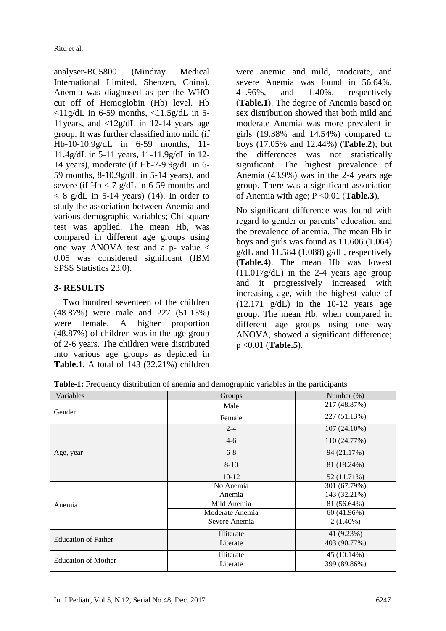analyser-BC5800 (Mindray Medical International Limited, Shenzen, China). Anemia was diagnosed as per the WHO cut off of Hemoglobin (Hb) level. Hb  $\langle 11g/dL$  in 6-59 months,  $\langle 11.5g/dL$  in 5-11years, and <12g/dL in 12-14 years age group. It was further classified into mild (if Hb-10-10.9g/dL in 6-59 months, 11- 11.4g/dL in 5-11 years, 11-11.9g/dL in 12- 14 years), moderate (if Hb-7-9.9g/dL in 6- 59 months, 8-10.9g/dL in 5-14 years), and severe (if  $Hb < 7$  g/dL in 6-59 months and  $< 8$  g/dL in 5-14 years) (14). In order to study the association between Anemia and various demographic variables; Chi square test was applied. The mean Hb, was compared in different age groups using one way ANOVA test and a p- value  $\lt$ 0.05 was considered significant (IBM SPSS Statistics 23.0).

# **3- RESULTS**

 Two hundred seventeen of the children (48.87%) were male and 227 (51.13%) were female. A higher proportion (48.87%) of children was in the age group of 2-6 years. The children were distributed into various age groups as depicted in **Table.1**. A total of 143 (32.21%) children were anemic and mild, moderate, and severe Anemia was found in 56.64%, 41.96%, and 1.40%, respectively (**Table.1**). The degree of Anemia based on sex distribution showed that both mild and moderate Anemia was more prevalent in girls (19.38% and 14.54%) compared to boys (17.05% and 12.44%) (**Table**.**2**); but the differences was not statistically significant. The highest prevalence of Anemia (43.9%) was in the 2-4 years age group. There was a significant association of Anemia with age; P <0.01 (**Table.3**).

No significant difference was found with regard to gender or parents' education and the prevalence of anemia. The mean Hb in boys and girls was found as 11.606 (1.064)  $g/dL$  and 11.584 (1.088)  $g/dL$ , respectively (**Table.4**). The mean Hb was lowest  $(11.017g/dL)$  in the 2-4 years age group and it progressively increased with increasing age, with the highest value of  $(12.171 \text{ g/dL})$  in the 10-12 years age group. The mean Hb, when compared in different age groups using one way ANOVA, showed a significant difference; p <0.01 (**Table.5**).

**Table-1:** Frequency distribution of anemia and demographic variables in the participants

| Variables                  | Groups          | Number $(\%)$  |
|----------------------------|-----------------|----------------|
| Gender                     | Male            | 217 (48.87%)   |
|                            | Female          | 227 (51.13%)   |
|                            | $2 - 4$         | $107(24.10\%)$ |
|                            | $4 - 6$         | 110 (24.77%)   |
| Age, year                  | $6 - 8$         | 94 (21.17%)    |
|                            | $8 - 10$        | 81 (18.24%)    |
|                            | $10-12$         | 52 (11.71%)    |
|                            | No Anemia       | 301 (67.79%)   |
|                            | Anemia          | 143 (32.21%)   |
| Anemia                     | Mild Anemia     | 81 (56.64%)    |
|                            | Moderate Anemia | 60 (41.96%)    |
|                            | Severe Anemia   | $2(1.40\%)$    |
| <b>Education of Father</b> | Illiterate      | 41 (9.23%)     |
|                            | Literate        | 403 (90.77%)   |
|                            | Illiterate      | 45 (10.14%)    |
| <b>Education of Mother</b> | Literate        | 399 (89.86%)   |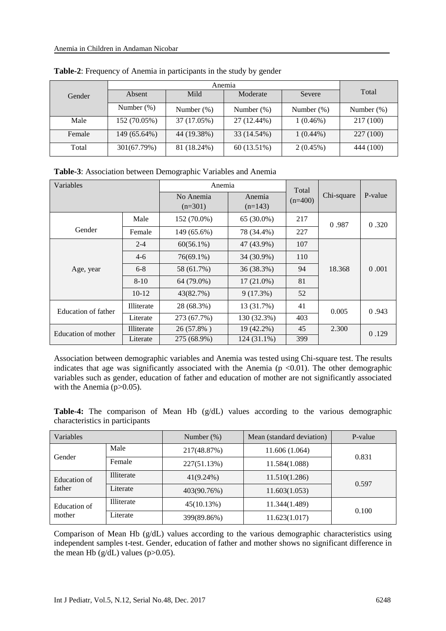|        | Anemia        |               |               |               |               |
|--------|---------------|---------------|---------------|---------------|---------------|
| Gender | Absent        | Mild          | Moderate      | Severe        | Total         |
|        | Number $(\%)$ | Number $(\%)$ | Number $(\%)$ | Number $(\%)$ | Number $(\%)$ |
| Male   | 152 (70.05%)  | 37 (17.05%)   | 27 (12.44%)   | $1(0.46\%)$   | 217 (100)     |
| Female | 149 (65.64%)  | 44 (19.38%)   | 33 (14.54%)   | $1(0.44\%)$   | 227 (100)     |
| Total  | 301(67.79%)   | 81 (18.24%)   | 60 (13.51%)   | 2(0.45%)      | 444 (100)     |

**Table-2**: Frequency of Anemia in participants in the study by gender

**Table-3**: Association between Demographic Variables and Anemia

| Variables           |            | Anemia                 |                     | Total     |            |         |
|---------------------|------------|------------------------|---------------------|-----------|------------|---------|
|                     |            | No Anemia<br>$(n=301)$ | Anemia<br>$(n=143)$ | $(n=400)$ | Chi-square | P-value |
|                     | Male       | 152 (70.0%)            | 65 (30.0%)          | 217       | 0.987      | 0.320   |
| Gender              | Female     | 149 (65.6%)            | 78 (34.4%)          | 227       |            |         |
| Age, year           | $2 - 4$    | $60(56.1\%)$           | 47 (43.9%)          | 107       |            |         |
|                     | $4-6$      | 76(69.1%)              | 34 (30.9%)          | 110       |            |         |
|                     | $6 - 8$    | 58 (61.7%)             | 36 (38.3%)          | 94        | 18.368     | 0.001   |
|                     | $8 - 10$   | 64 (79.0%)             | $17(21.0\%)$        | 81        |            |         |
|                     | $10-12$    | 43(82.7%)              | 9(17.3%)            | 52        |            |         |
| Education of father | Illiterate | 28 (68.3%)             | 13 (31.7%)          | 41        | 0.005      | 0.943   |
|                     | Literate   | 273 (67.7%)            | 130 (32.3%)         | 403       |            |         |
| Education of mother | Illiterate | 26 (57.8%)             | 19 (42.2%)          | 45        | 2.300      | 0.129   |
|                     | Literate   | 275 (68.9%)            | 124 (31.1%)         | 399       |            |         |

Association between demographic variables and Anemia was tested using Chi-square test. The results indicates that age was significantly associated with the Anemia ( $p \le 0.01$ ). The other demographic variables such as gender, education of father and education of mother are not significantly associated with the Anemia  $(p>0.05)$ .

**Table-4:** The comparison of Mean Hb (g/dL) values according to the various demographic characteristics in participants

| Variables              |                   | Number $(\%)$ | Mean (standard deviation) | P-value |  |
|------------------------|-------------------|---------------|---------------------------|---------|--|
|                        | Male              | 217(48.87%)   | 11.606 (1.064)            |         |  |
| Gender                 | Female            | 227(51.13%)   | 11.584(1.088)             | 0.831   |  |
| Education of<br>father | Illiterate        | $41(9.24\%)$  | 11.510(1.286)             | 0.597   |  |
|                        | Literate          | 403(90.76%)   | 11.603(1.053)             |         |  |
| Education of<br>mother | <b>Illiterate</b> | 45(10.13%)    | 11.344(1.489)             | 0.100   |  |
|                        | Literate          | 399(89.86%)   | 11.623(1.017)             |         |  |

Comparison of Mean Hb (g/dL) values according to the various demographic characteristics using independent samples t-test. Gender, education of father and mother shows no significant difference in the mean Hb  $(g/dL)$  values (p $>0.05$ ).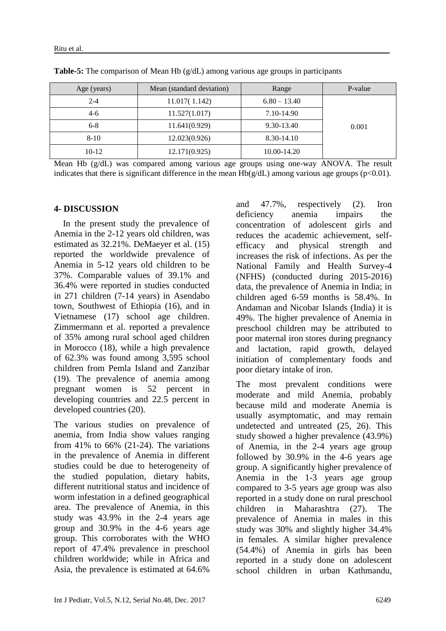| Age (years) | Mean (standard deviation)<br>Range |                | P-value |
|-------------|------------------------------------|----------------|---------|
| $2 - 4$     | 11.017(1.142)                      | $6.80 - 13.40$ |         |
| $4-6$       | 11.527(1.017)                      | 7.10-14.90     |         |
| $6 - 8$     | 11.641(0.929)                      | 9.30-13.40     | 0.001   |
| $8-10$      | 12.023(0.926)                      | 8.30-14.10     |         |
| $10-12$     | 12.171(0.925)                      | 10.00-14.20    |         |

**Table-5:** The comparison of Mean Hb (g/dL) among various age groups in participants

Mean Hb (g/dL) was compared among various age groups using one-way ANOVA. The result indicates that there is significant difference in the mean  $Hb(g/dL)$  among various age groups (p<0.01).

#### **4- DISCUSSION**

 In the present study the prevalence of Anemia in the 2-12 years old children, was estimated as 32.21%. DeMaeyer et al. (15) reported the worldwide prevalence of Anemia in 5-12 years old children to be 37%. Comparable values of 39.1% and 36.4% were reported in studies conducted in 271 children (7-14 years) in Asendabo town, Southwest of Ethiopia (16), and in Vietnamese (17) school age children. Zimmermann et al. reported a prevalence of 35% among rural school aged children in Morocco (18), while a high prevalence of 62.3% was found among 3,595 school children from Pemla Island and Zanzibar (19). The prevalence of anemia among pregnant women is 52 percent in developing countries and 22.5 percent in developed countries (20).

The various studies on prevalence of anemia, from India show values ranging from 41% to  $66\%$  (21-24). The variations in the prevalence of Anemia in different studies could be due to heterogeneity of the studied population, dietary habits, different nutritional status and incidence of worm infestation in a defined geographical area. The prevalence of Anemia, in this study was 43.9% in the 2-4 years age group and 30.9% in the 4-6 years age group. This corroborates with the WHO report of 47.4% prevalence in preschool children worldwide; while in Africa and Asia, the prevalence is estimated at 64.6%

and 47.7%, respectively (2). Iron deficiency anemia impairs the concentration of adolescent girls and reduces the academic achievement, selfefficacy and physical strength and increases the risk of infections. As per the National Family and Health Survey-4 (NFHS) (conducted during 2015-2016) data, the prevalence of Anemia in India; in children aged 6-59 months is 58.4%. In Andaman and Nicobar Islands (India) it is 49%. The higher prevalence of Anemia in preschool children may be attributed to poor maternal iron stores during pregnancy and lactation, rapid growth, delayed initiation of complementary foods and poor dietary intake of iron.

The most prevalent conditions were moderate and mild Anemia, probably because mild and moderate Anemia is usually asymptomatic, and may remain undetected and untreated (25, 26). This study showed a higher prevalence (43.9%) of Anemia, in the 2-4 years age group followed by 30.9% in the 4-6 years age group. A significantly higher prevalence of Anemia in the 1-3 years age group compared to 3-5 years age group was also reported in a study done on rural preschool children in Maharashtra (27). The prevalence of Anemia in males in this study was 30% and slightly higher 34.4% in females. A similar higher prevalence (54.4%) of Anemia in girls has been reported in a study done on adolescent school children in urban Kathmandu,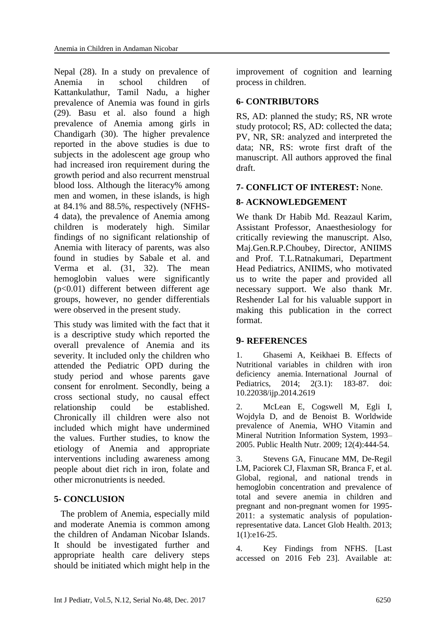Nepal (28). In a study on prevalence of Anemia in school children of Kattankulathur, Tamil Nadu, a higher prevalence of Anemia was found in girls (29). Basu et al. also found a high prevalence of Anemia among girls in Chandigarh (30). The higher prevalence reported in the above studies is due to subjects in the adolescent age group who had increased iron requirement during the growth period and also recurrent menstrual blood loss. Although the literacy% among men and women, in these islands, is high at 84.1% and 88.5%, respectively (NFHS-4 data), the prevalence of Anemia among children is moderately high. Similar findings of no significant relationship of Anemia with literacy of parents, was also found in studies by Sabale et al. and Verma et al. (31, 32). The mean hemoglobin values were significantly (p<0.01) different between different age groups, however, no gender differentials were observed in the present study.

This study was limited with the fact that it is a descriptive study which reported the overall prevalence of Anemia and its severity. It included only the children who attended the Pediatric OPD during the study period and whose parents gave consent for enrolment. Secondly, being a cross sectional study, no causal effect relationship could be established. Chronically ill children were also not included which might have undermined the values. Further studies, to know the etiology of Anemia and appropriate interventions including awareness among people about diet rich in iron, folate and other micronutrients is needed.

# **5- CONCLUSION**

 The problem of Anemia, especially mild and moderate Anemia is common among the children of Andaman Nicobar Islands. It should be investigated further and appropriate health care delivery steps should be initiated which might help in the improvement of cognition and learning process in children.

## **6- CONTRIBUTORS**

RS, AD: planned the study; RS, NR wrote study protocol; RS, AD: collected the data; PV, NR, SR: analyzed and interpreted the data; NR, RS: wrote first draft of the manuscript. All authors approved the final draft.

# **7- CONFLICT OF INTEREST:** None.

# **8- ACKNOWLEDGEMENT**

We thank Dr Habib Md. Reazaul Karim, Assistant Professor, Anaesthesiology for critically reviewing the manuscript. Also, Maj.Gen.R.P.Choubey, Director, ANIIMS and Prof. T.L.Ratnakumari, Department Head Pediatrics, ANIIMS, who motivated us to write the paper and provided all necessary support. We also thank Mr. Reshender Lal for his valuable support in making this publication in the correct format.

### **9- REFERENCES**

1. Ghasemi A, Keikhaei B. Effects of Nutritional variables in children with iron deficiency anemia. International Journal of Pediatrics, 2014; 2(3.1): 183-87. doi: 10.22038/ijp.2014.2619

2. McLean E, Cogswell M, Egli I, Wojdyla D, and de Benoist B. Worldwide prevalence of Anemia, WHO Vitamin and Mineral Nutrition Information System, 1993– 2005. [Public Health Nutr.](https://www.ncbi.nlm.nih.gov/pubmed/18498676) 2009; 12(4):444-54.

3. Stevens GA, Finucane MM, De-Regil LM, Paciorek CJ, Flaxman SR, Branca F, et al. Global, regional, and national trends in hemoglobin concentration and prevalence of total and severe anemia in children and pregnant and non-pregnant women for 1995- 2011: a systematic analysis of populationrepresentative data. Lancet Glob Health. 2013; 1(1):e16-25.

4. Key Findings from NFHS. [Last accessed on 2016 Feb 23]. Available at: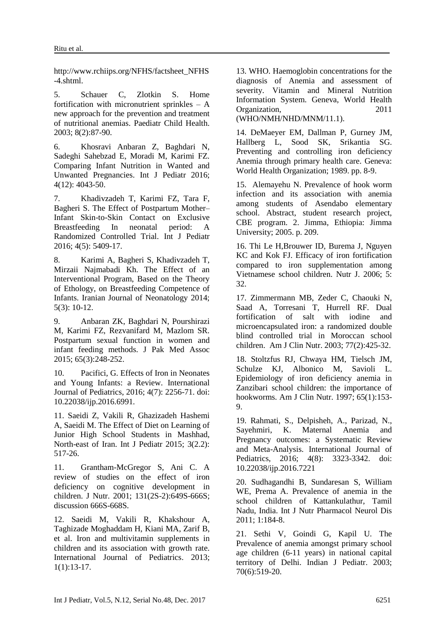http://www.rchiips.org/NFHS/factsheet\_NFHS -4.shtml.

5. Schauer C, Zlotkin S. Home fortification with micronutrient sprinkles  $-$  A new approach for the prevention and treatment of nutritional anemias. Paediatr Child Health. 2003; 8(2):87-90.

6. Khosravi Anbaran Z, Baghdari N, Sadeghi Sahebzad E, Moradi M, Karimi FZ. Comparing Infant Nutrition in Wanted and Unwanted Pregnancies. Int J Pediatr 2016; 4(12): 4043-50.

7. Khadivzadeh T, Karimi FZ, Tara F, Bagheri S. The Effect of Postpartum Mother– Infant Skin-to-Skin Contact on Exclusive Breastfeeding In neonatal period: A Randomized Controlled Trial. Int J Pediatr 2016; 4(5): 5409-17.

8. Karimi A, Bagheri S, Khadivzadeh T, Mirzaii Najmabadi Kh. The Effect of an Interventional Program, Based on the Theory of Ethology, on Breastfeeding Competence of Infants. Iranian Journal of Neonatology 2014; 5(3): 10-12.

9. Anbaran ZK, Baghdari N, Pourshirazi M, Karimi FZ, Rezvanifard M, Mazlom SR. Postpartum sexual function in women and infant feeding methods. J Pak Med Assoc 2015; 65(3):248-252.

10. Pacifici, G. Effects of Iron in Neonates and Young Infants: a Review. International Journal of Pediatrics, 2016; 4(7): 2256-71. doi: 10.22038/ijp.2016.6991.

11. Saeidi Z, Vakili R, Ghazizadeh Hashemi A, Saeidi M. The Effect of Diet on Learning of Junior High School Students in Mashhad, North-east of Iran. Int J Pediatr 2015; 3(2.2): 517-26.

11. Grantham-McGregor S, Ani C. A review of studies on the effect of iron deficiency on cognitive development in children. J Nutr. 2001; 131(2S-2):649S-666S; discussion 666S-668S.

12. [Saeidi M,](https://www.scopus.com/authid/detail.uri?authorId=55927110500&eid=2-s2.0-85006924985) [Vakili R,](https://www.scopus.com/authid/detail.uri?authorId=55966390700&eid=2-s2.0-85006924985) [Khakshour A,](https://www.scopus.com/authid/detail.uri?authorId=55550328600&eid=2-s2.0-85006924985)  Taghizade [Moghaddam](https://www.scopus.com/authid/detail.uri?authorId=57192586132&eid=2-s2.0-85006924985) H, [Kiani MA,](https://www.scopus.com/authid/detail.uri?authorId=54683993700&eid=2-s2.0-85006924985) [Zarif B,](https://www.scopus.com/authid/detail.uri?authorId=57192586817&eid=2-s2.0-85006924985) et al. Iron and multivitamin supplements in children and its association with growth rate. [International Journal of Pediatrics.](https://www.scopus.com/sourceid/21100790061?origin=recordpage) 2013; 1(1):13-17.

13. WHO. Haemoglobin concentrations for the diagnosis of Anemia and assessment of severity. Vitamin and Mineral Nutrition Information System. Geneva, World Health Organization, 2011

(WHO/NMH/NHD/MNM/11.1).

14. DeMaeyer EM, Dallman P, Gurney JM, Hallberg L, Sood SK, Srikantia SG. Preventing and controlling iron deficiency Anemia through primary health care. Geneva: World Health Organization; 1989. pp. 8-9.

15. Alemayehu N. Prevalence of hook worm infection and its association with anemia among students of Asendabo elementary school. Abstract, student research project, CBE program. 2. Jimma, Ethiopia: Jimma University; 2005. p. 209.

16. Thi Le H,Brouwer ID, Burema J, Nguyen KC and Kok FJ. Efficacy of iron fortification compared to iron supplementation among Vietnamese school children. Nutr J. 2006; 5: 32.

17. Zimmermann MB, Zeder C, Chaouki N, Saad A, Torresani T, Hurrell RF. Dual fortification of salt with iodine and microencapsulated iron: a randomized double blind controlled trial in Moroccan school children. Am J Clin Nutr. 2003; 77(2):425-32.

18. Stoltzfus RJ, Chwaya HM, Tielsch JM, Schulze KJ, Albonico M, Savioli L. Epidemiology of iron deficiency anemia in Zanzibari school children: the importance of hookworms. Am J Clin Nutr. 1997; 65(1):153- 9.

19. Rahmati, S., Delpisheh, A., Parizad, N., Sayehmiri, K. Maternal Anemia and Pregnancy outcomes: a Systematic Review and Meta-Analysis. International Journal of Pediatrics, 2016; 4(8): 3323-3342. doi: 10.22038/ijp.2016.7221

20. Sudhagandhi B, Sundaresan S, William WE, Prema A. Prevalence of anemia in the school children of Kattankulathur, Tamil Nadu, India. Int J Nutr Pharmacol Neurol Dis 2011; 1:184-8.

21. Sethi V, Goindi G, Kapil U. The Prevalence of anemia amongst primary school age children (6-11 years) in national capital territory of Delhi. Indian J Pediatr. 2003; 70(6):519-20.